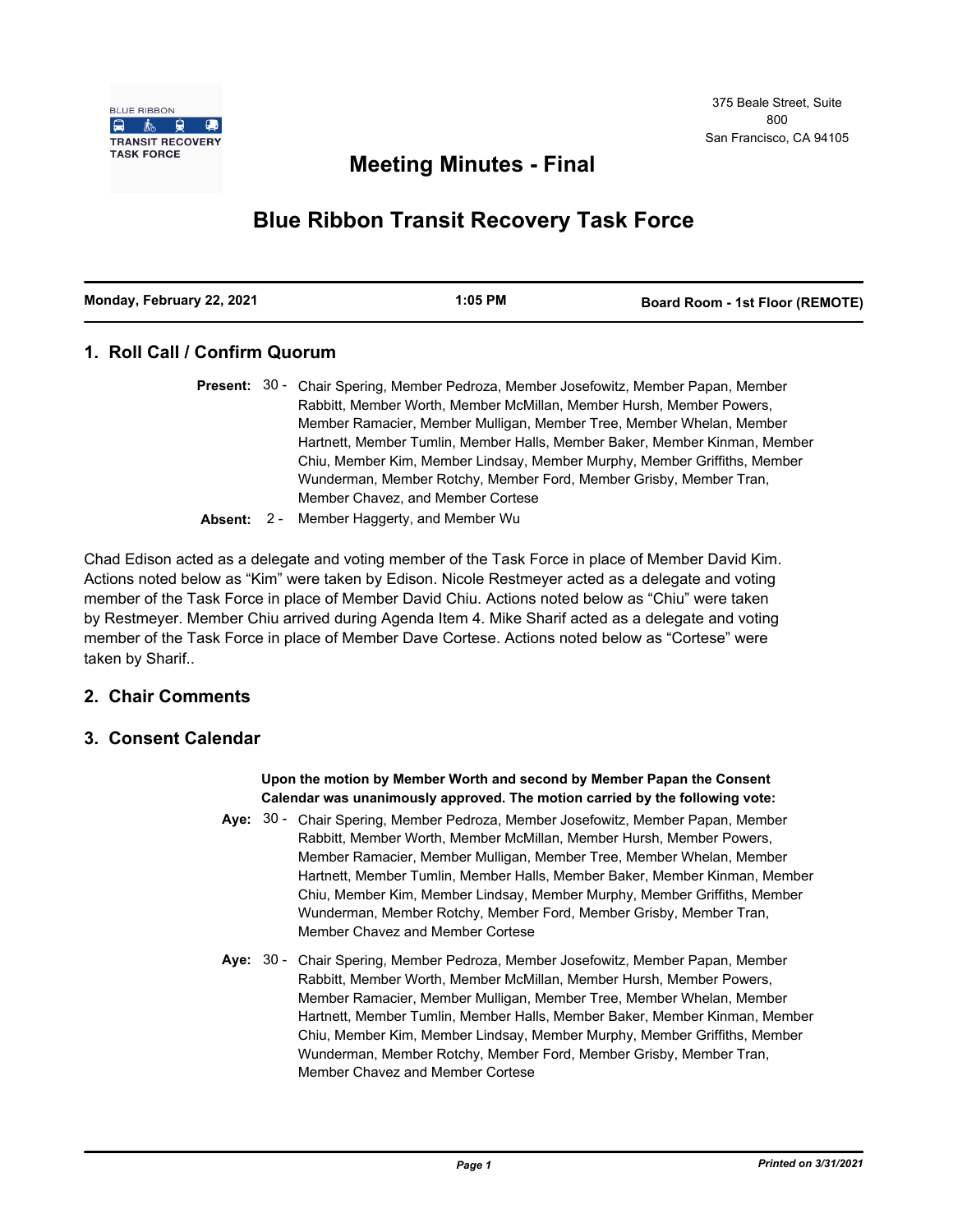

# **Meeting Minutes - Final**

# **Blue Ribbon Transit Recovery Task Force**

| Monday, February 22, 2021<br>1:05 PM | <b>Board Room - 1st Floor (REMOTE)</b> |
|--------------------------------------|----------------------------------------|
|--------------------------------------|----------------------------------------|

# **1. Roll Call / Confirm Quorum**

| Present: 30 - Chair Spering, Member Pedroza, Member Josefowitz, Member Papan, Member |
|--------------------------------------------------------------------------------------|
| Rabbitt, Member Worth, Member McMillan, Member Hursh, Member Powers,                 |
| Member Ramacier, Member Mulligan, Member Tree, Member Whelan, Member                 |
| Hartnett, Member Tumlin, Member Halls, Member Baker, Member Kinman, Member           |
| Chiu, Member Kim, Member Lindsay, Member Murphy, Member Griffiths, Member            |
| Wunderman, Member Rotchy, Member Ford, Member Grisby, Member Tran,                   |
| Member Chavez, and Member Cortese                                                    |
|                                                                                      |

**Absent:** 2 - Member Haggerty, and Member Wu

Chad Edison acted as a delegate and voting member of the Task Force in place of Member David Kim. Actions noted below as "Kim" were taken by Edison. Nicole Restmeyer acted as a delegate and voting member of the Task Force in place of Member David Chiu. Actions noted below as "Chiu" were taken by Restmeyer. Member Chiu arrived during Agenda Item 4. Mike Sharif acted as a delegate and voting member of the Task Force in place of Member Dave Cortese. Actions noted below as "Cortese" were taken by Sharif..

# **2. Chair Comments**

## **3. Consent Calendar**

**Upon the motion by Member Worth and second by Member Papan the Consent Calendar was unanimously approved. The motion carried by the following vote:**

- Aye: 30 Chair Spering, Member Pedroza, Member Josefowitz, Member Papan, Member Rabbitt, Member Worth, Member McMillan, Member Hursh, Member Powers, Member Ramacier, Member Mulligan, Member Tree, Member Whelan, Member Hartnett, Member Tumlin, Member Halls, Member Baker, Member Kinman, Member Chiu, Member Kim, Member Lindsay, Member Murphy, Member Griffiths, Member Wunderman, Member Rotchy, Member Ford, Member Grisby, Member Tran, Member Chavez and Member Cortese
- Aye: 30 Chair Spering, Member Pedroza, Member Josefowitz, Member Papan, Member Rabbitt, Member Worth, Member McMillan, Member Hursh, Member Powers, Member Ramacier, Member Mulligan, Member Tree, Member Whelan, Member Hartnett, Member Tumlin, Member Halls, Member Baker, Member Kinman, Member Chiu, Member Kim, Member Lindsay, Member Murphy, Member Griffiths, Member Wunderman, Member Rotchy, Member Ford, Member Grisby, Member Tran, Member Chavez and Member Cortese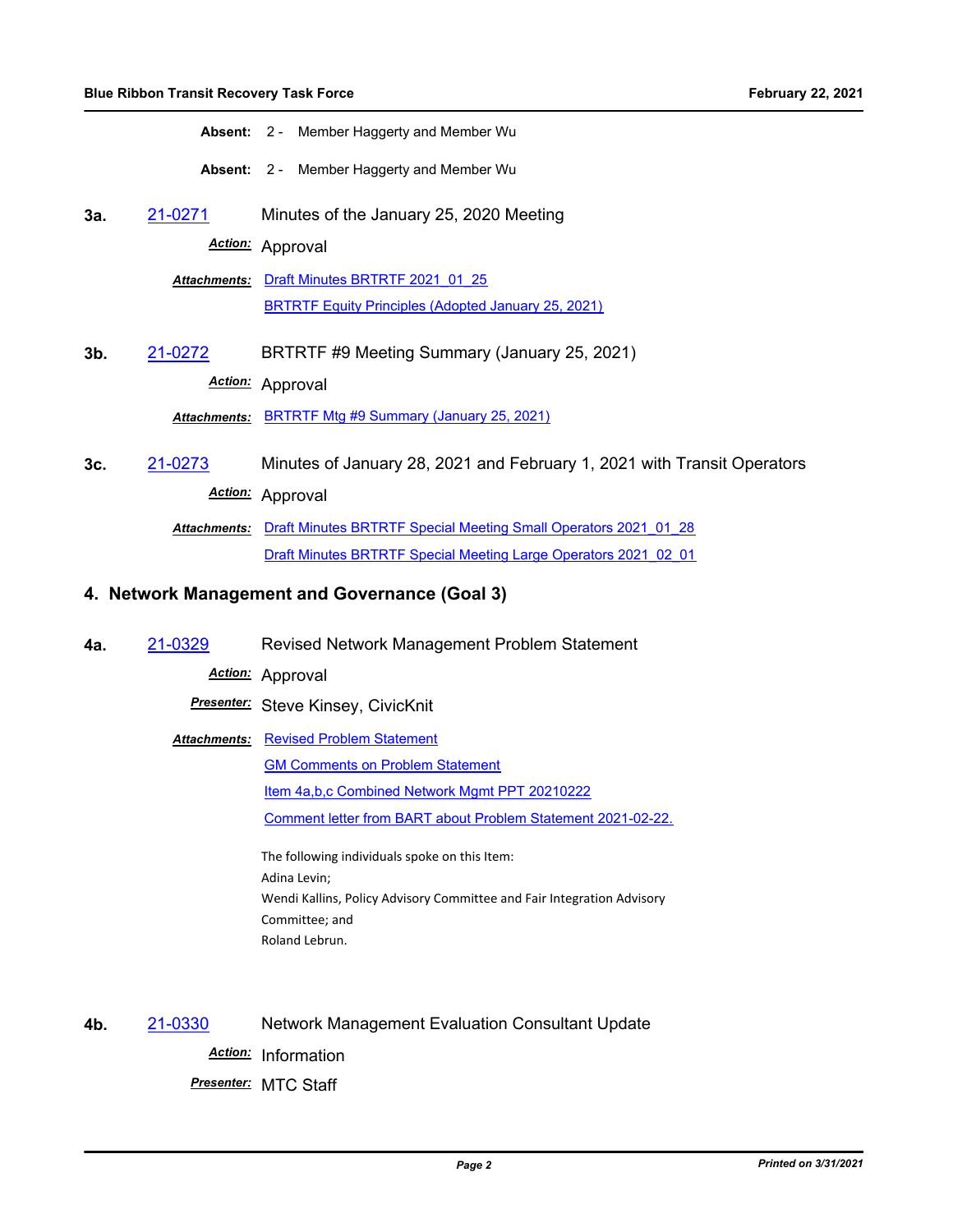**Absent:** 2 - Member Haggerty and Member Wu

**Absent:** 2 - Member Haggerty and Member Wu

**3a.** [21-0271](http://mtc.legistar.com/gateway.aspx?m=l&id=/matter.aspx?key=21864) Minutes of the January 25, 2020 Meeting

*Action:* Approval

**Attachments: Draft Minutes BRTRTF 2021 01 25** [BRTRTF Equity Principles \(Adopted January 25, 2021\)](http://mtc.legistar.com/gateway.aspx?M=F&ID=6a41c066-799b-452d-af1a-20f46903f1ad.pdf)

**3b.** [21-0272](http://mtc.legistar.com/gateway.aspx?m=l&id=/matter.aspx?key=21865) BRTRTF #9 Meeting Summary (January 25, 2021) *Action:* Approval

*Attachments:* [BRTRTF Mtg #9 Summary \(January 25, 2021\)](http://mtc.legistar.com/gateway.aspx?M=F&ID=7064fd60-0d79-450c-a631-42808f643676.pdf)

**3c.** [21-0273](http://mtc.legistar.com/gateway.aspx?m=l&id=/matter.aspx?key=21866) Minutes of January 28, 2021 and February 1, 2021 with Transit Operators *Action:* Approval

> **Attachments: Draft Minutes BRTRTF Special Meeting Small Operators 2021 01 28** [Draft Minutes BRTRTF Special Meeting Large Operators 2021\\_02\\_01](http://mtc.legistar.com/gateway.aspx?M=F&ID=eaccfd6f-e591-4413-a20a-0c45c707b71a.pdf)

#### **4. Network Management and Governance (Goal 3)**

**4a.** [21-0329](http://mtc.legistar.com/gateway.aspx?m=l&id=/matter.aspx?key=21922) Revised Network Management Problem Statement

*Action:* Approval

*Presenter:* Steve Kinsey, CivicKnit

**Attachments: [Revised Problem Statement](http://mtc.legistar.com/gateway.aspx?M=F&ID=c6c58bee-d8ea-45f0-ba57-e274c5f273b8.pdf)** [GM Comments on Problem Statement](http://mtc.legistar.com/gateway.aspx?M=F&ID=80b01d09-622a-4e16-ab07-00d792cd72d7.pdf) [Item 4a,b,c Combined Network Mgmt PPT 20210222](http://mtc.legistar.com/gateway.aspx?M=F&ID=e35294d2-6633-4801-86e0-0f1f49477ab5.pdf) [Comment letter from BART about Problem Statement 2021-02-22.](http://mtc.legistar.com/gateway.aspx?M=F&ID=d901d1e5-a109-4e09-9a7f-e2b1d5dd0982.pdf)

> The following individuals spoke on this Item: Adina Levin; Wendi Kallins, Policy Advisory Committee and Fair Integration Advisory Committee; and Roland Lebrun.

**4b.** [21-0330](http://mtc.legistar.com/gateway.aspx?m=l&id=/matter.aspx?key=21923) Network Management Evaluation Consultant Update *Action:* Information *Presenter:* MTC Staff